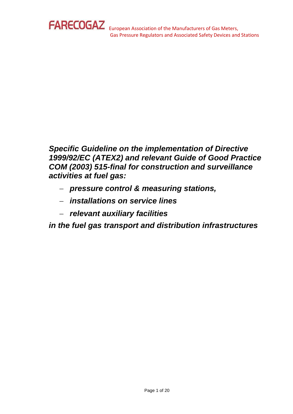

*Specific Guideline on the implementation of Directive 1999/92/EC (ATEX2) and relevant Guide of Good Practice COM (2003) 515-final for construction and surveillance activities at fuel gas:*

- − *pressure control & measuring stations,*
- − *installations on service lines*
- − *relevant auxiliary facilities*

*in the fuel gas transport and distribution infrastructures*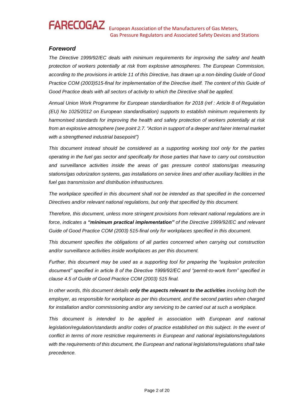# *Foreword*

*The Directive 1999/92/EC deals with minimum requirements for improving the safety and health protection of workers potentially at risk from explosive atmospheres. The European Commission, according to the provisions in article 11 of this Directive, has drawn up a non-binding Guide of Good Practice COM (2003)515-final for implementation of the Directive itself. The content of this Guide of Good Practice deals with all sectors of activity to which the Directive shall be applied.* 

*Annual Union Work Programme for European standardisation for 2018 (ref : Article 8 of Regulation (EU) No 1025/2012 on European standardisation) supports to establish minimum requirements by harmonised standards for improving the health and safety protection of workers potentially at risk from an explosive atmosphere (see point 2.7. "Action in support of a deeper and fairer internal market with a strengthened industrial basepoint")*

*This document instead should be considered as a supporting working tool only for the parties operating in the fuel gas sector and specifically for those parties that have to carry out construction and surveillance activities inside the areas of gas pressure control stations/gas measuring stations/gas odorization systems, gas installations on service lines and other auxiliary facilities in the fuel gas transmission and distribution infrastructures.* 

*The workplace specified in this document shall not be intended as that specified in the concerned Directives and/or relevant national regulations, but only that specified by this document.* 

*Therefore, this document, unless more stringent provisions from relevant national regulations are in force, indicates a "minimum practical implementation" of the Directive 1999/92/EC and relevant Guide of Good Practice COM (2003) 515-final only for workplaces specified in this document.* 

*This document specifies the obligations of all parties concerned when carrying out construction and/or surveillance activities inside workplaces as per this document.*

*Further, this document may be used as a supporting tool for preparing the "explosion protection document" specified in article 8 of the Directive 1999/92/EC and "permit-to-work form" specified in clause 4.5 of Guide of Good Practice COM (2003) 515 final.* 

*In other words, this document details only the aspects relevant to the activities involving both the employer, as responsible for workplace as per this document, and the second parties when charged for installation and/or commissioning and/or any servicing to be carried out at such a workplace.* 

*This document is intended to be applied in association with European and national legislation/regulation/standards and/or codes of practice established on this subject. In the event of conflict in terms of more restrictive requirements in European and national legislations/regulations with the requirements of this document, the European and national legislations/regulations shall take precedence.*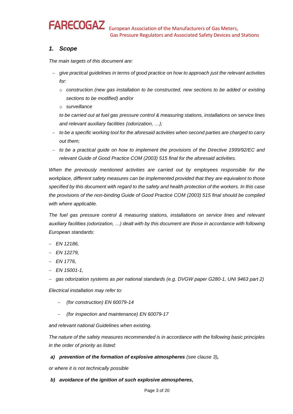# **FARECOGAZ**

# *1. Scope*

*The main targets of this document are:*

- − *give practical guidelines in terms of good practice on how to approach just the relevant activities for:*
	- o *construction (new gas installation to be constructed, new sections to be added or existing sections to be modified) and/or*
	- o *surveillance*

*to be carried out at fuel gas pressure control & measuring stations, installations on service lines and relevant auxiliary facilities (odorization, …);* 

- − *to be a specific working tool for the aforesaid activities when second parties are charged to carry out them;*
- − *to be a practical guide on how to implement the provisions of the Directive 1999/92/EC and relevant Guide of Good Practice COM (2003) 515 final for the aforesaid activities.*

*When the previously mentioned activities are carried out by employees responsible for the workplace, different safety measures can be implemented provided that they are equivalent to those specified by this document with regard to the safety and health protection of the workers. In this case the provisions of the non-binding Guide of Good Practice COM (2003) 515 final should be complied with where applicable.* 

*The fuel gas pressure control & measuring stations, installations on service lines and relevant auxiliary facilities (odorization, …) dealt with by this document are those in accordance with following European standards:* 

- − *EN 12186,*
- − *EN 12279,*
- − *EN 1776,*
- − *EN 15001-1,*
- − *gas odorization systems as per national standards (e.g. DVGW paper G280-1, UNI 9463 part 2)*

*Electrical installation may refer to:*

- − *(for construction) EN 60079-14*
- − *(for inspection and maintenance) EN 60079-17*

*and relevant national Guidelines when existing.* 

*The nature of the safety measures recommended is in accordance with the following basic principles in the order of priority as listed:* 

# *a) prevention of the formation of explosive atmospheres (see clause 3),*

*or where it is not technically possible*

### *b) avoidance of the ignition of such explosive atmospheres,*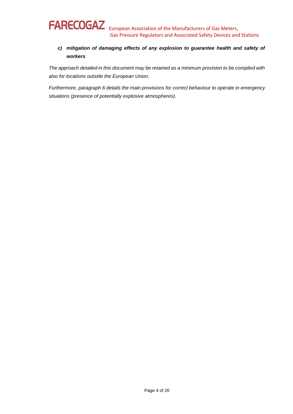# *c) mitigation of damaging effects of any explosion to guarantee health and safety of workers*

*The approach detailed in this document may be retained as a minimum provision to be complied with also for locations outside the European Union.* 

*Furthermore, paragraph 6 details the main provisions for correct behaviour to operate in emergency situations (presence of potentially explosive atmospheres).*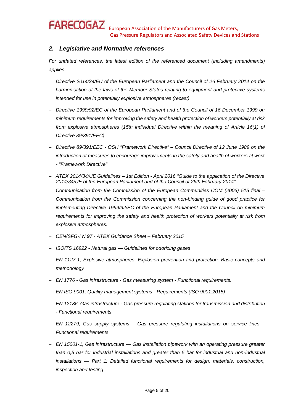# *2. Legislative and Normative references*

*For undated references, the latest edition of the referenced document (including amendments) applies.* 

- − *Directive 2014/34/EU of the European Parliament and the Council of 26 February 2014 on the harmonisation of the laws of the Member States relating to equipment and protective systems intended for use in potentially explosive atmospheres (recast).*
- − *Directive 1999/92/EC of the European Parliament and of the Council of 16 December 1999 on minimum requirements for improving the safety and health protection of workers potentially at risk from explosive atmospheres (15th individual Directive within the meaning of Article 16(1) of Directive 89/391/EEC).*
- − *Directive 89/391/EEC - OSH "Framework Directive" – Council Directive of 12 June 1989 on the introduction of measures to encourage improvements in the safety and health of workers at work - "Framework Directive"*
- − *ATEX 2014/34/UE Guidelines – 1st Edition - April 2016 "Guide to the application of the Directive 2014/34/UE of the European Parliament and of the Council of 26th February 2014"*
- − *Communication from the Commission of the European Communities COM (2003) 515 final – Communication from the Commission concerning the non-binding guide of good practice for implementing Directive 1999/92/EC of the European Parliament and the Council on minimum requirements for improving the safety and health protection of workers potentially at risk from explosive atmospheres.*
- − *CEN/SFG-I N 97 - ATEX Guidance Sheet – February 2015*
- − *ISO/TS 16922 - Natural gas — Guidelines for odorizing gases*
- − *EN 1127-1, Explosive atmospheres. Explosion prevention and protection. Basic concepts and methodology*
- − *EN 1776 - Gas infrastructure - Gas measuring system - Functional requirements.*
- − *EN ISO 9001, Quality management systems - Requirements (ISO 9001:2015)*
- − *EN 12186, Gas infrastructure - Gas pressure regulating stations for transmission and distribution - Functional requirements*
- − *EN 12279, Gas supply systems – Gas pressure regulating installations on service lines – Functional requirements*
- − *EN 15001-1, Gas infrastructure — Gas installation pipework with an operating pressure greater than 0,5 bar for industrial installations and greater than 5 bar for industrial and non-industrial installations — Part 1: Detailed functional requirements for design, materials, construction, inspection and testing*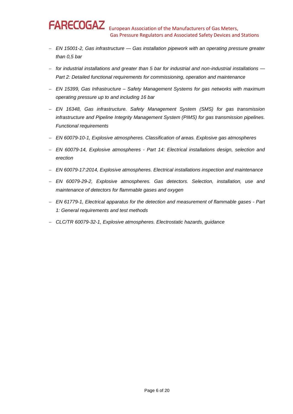- − *EN 15001-2, Gas infrastructure — Gas installation pipework with an operating pressure greater than 0,5 bar*
- − *for industrial installations and greater than 5 bar for industrial and non-industrial installations — Part 2: Detailed functional requirements for commissioning, operation and maintenance*
- − *EN 15399, Gas Infrastructure – Safety Management Systems for gas networks with maximum operating pressure up to and including 16 bar*
- − *EN 16348, Gas infrastructure. Safety Management System (SMS) for gas transmission infrastructure and Pipeline Integrity Management System (PIMS) for gas transmission pipelines. Functional requirements*
- − *EN 60079-10-1, Explosive atmospheres. Classification of areas. Explosive gas atmospheres*
- − *EN 60079-14, Explosive atmospheres - Part 14: Electrical installations design, selection and erection*
- − *EN 60079-17:2014, Explosive atmospheres. Electrical installations inspection and maintenance*
- − *EN 60079-29-2, Explosive atmospheres. Gas detectors. Selection, installation, use and maintenance of detectors for flammable gases and oxygen*
- − *EN 61779-1, Electrical apparatus for the detection and measurement of flammable gases - Part 1: General requirements and test methods*
- − *CLC/TR 60079-32-1, Explosive atmospheres. Electrostatic hazards, guidance*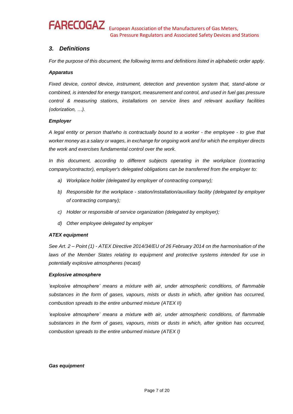# **FARECOGAZ**

# *3. Definitions*

*For the purpose of this document, the following terms and definitions listed in alphabetic order apply.* 

## *Apparatus*

*Fixed device, control device, instrument, detection and prevention system that, stand-alone or combined, is intended for energy transport, measurement and control, and used in fuel gas pressure control & measuring stations, installations on service lines and relevant auxiliary facilities (odorization, …).* 

## *Employer*

*A legal entity or person that/who is contractually bound to a worker - the employee - to give that worker money as a salary or wages, in exchange for ongoing work and for which the employer directs the work and exercises fundamental control over the work.*

In this document, according to different subjects operating in the workplace (contracting *company/contractor), employer's delegated obligations can be transferred from the employer to:* 

- *a) Workplace holder (delegated by employer of contracting company);*
- *b) Responsible for the workplace - station/installation/auxiliary facility (delegated by employer of contracting company);*
- *c) Holder or responsible of service organization (delegated by employer);*
- *d) Other employee delegated by employer*

### *ATEX equipment*

*See Art. 2 – Point (1) - ATEX Directive 2014/34/EU of 26 February 2014 on the harmonisation of the*  laws of the Member States relating to equipment and protective systems intended for use in *potentially explosive atmospheres (recast)*

### *Explosive atmosphere*

*'explosive atmosphere' means a mixture with air, under atmospheric conditions, of flammable substances in the form of gases, vapours, mists or dusts in which, after ignition has occurred, combustion spreads to the entire unburned mixture (ATEX II)*

'explosive atmosphere' means a mixture with air, under atmospheric conditions, of flammable *substances in the form of gases, vapours, mists or dusts in which, after ignition has occurred, combustion spreads to the entire unburned mixture (ATEX I)* 

### *Gas equipment*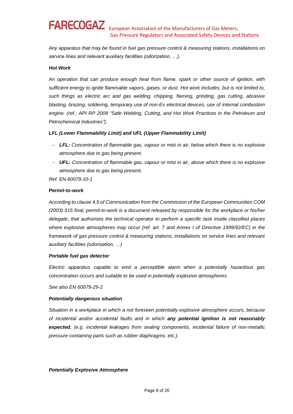*Any apparatus that may be found in fuel gas pressure control & measuring stations, installations on service lines and relevant auxiliary facilities (odorization, …).*

### *Hot Work*

*An operation that can produce enough heat from flame, spark or other source of ignition, with sufficient energy to ignite flammable vapors, gases, or dust. Hot work includes, but is not limited to, such things as electric arc and gas welding, chipping, flaming, grinding, gas cutting, abrasive blasting, brazing, soldering, temporary use of non-Ex electrical devices, use of internal combustion engine. (ref.: API RP 2009 "Safe Welding, Cutting, and Hot Work Practices in the Petroleum and Petrochemical Industries").* 

### *LFL (Lower Flammability Limit) and UFL (Upper Flammability Limit)*

- − *LFL: Concentration of flammable gas, vapour or mist in air, below which there is no explosive atmosphere due to gas being present.*
- − *UFL: Concentration of flammable gas, vapour or mist in air, above which there is no explosive atmosphere due to gas being present.*

*Ref. EN 60079-10-1*

#### *Permit-to-work*

*According to clause 4.5 of Communication from the Commission of the European Communities COM (2003) 515 final, permit-to-work is a document released by responsible for the workplace or his/her delegate, that authorises the technical operator to perform a specific task inside classified places where explosive atmospheres may occur (ref. art. 7 and Annex I of Directive 1999/92/EC) in the framework of gas pressure control & measuring stations, installations on service lines and relevant auxiliary facilities (odorization, …)*

#### *Portable fuel gas detector*

*Electric apparatus capable to emit a perceptible alarm when a potentially hazardous gas concentration occurs and suitable to be used in potentially explosive atmospheres.* 

*See also EN 60079-29-2*

#### *Potentially dangerous situation*

*Situation in a workplace in which a not foreseen potentially explosive atmosphere occurs, because of incidental and/or accidental faults and in which any potential ignition is not reasonably expected. (e.g. incidental leakages from sealing components, incidental failure of non-metallic pressure containing parts such as rubber diaphragms, etc.).*

#### *Potentially Explosive Atmosphere*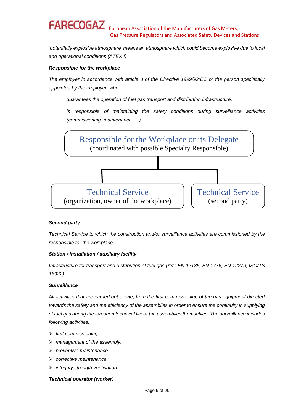*'potentially explosive atmosphere' means an atmosphere which could become explosive due to local and operational conditions (ATEX I)*

## *Responsible for the workplace*

*The employer in accordance with article 3 of the Directive 1999/92/EC or the person specifically appointed by the employer, who:* 

- − *guarantees the operation of fuel gas transport and distribution infrastructure,*
- *is responsible of maintaining the safety conditions during surveillance activities (commissioning, maintenance, …)*



### *Second party*

*Technical Service to which the construction and/or surveillance activities are commissioned by the responsible for the workplace*

### *Station / installation / auxiliary facility*

*Infrastructure for transport and distribution of fuel gas (ref.: EN 12186, EN 1776, EN 12279, ISO/TS 16922).* 

### *Surveillance*

*All activities that are carried out at site, from the first commissioning of the gas equipment directed towards the safety and the efficiency of the assemblies in order to ensure the continuity in supplying of fuel gas during the foreseen technical life of the assemblies themselves. The surveillance includes following activities:*

- ➢ *first commissioning,*
- ➢ *management of the assembly,*
- ➢ *preventive maintenance*
- ➢ *corrective maintenance,*
- ➢ *integrity strength verification.*

### *Technical operator (worker)*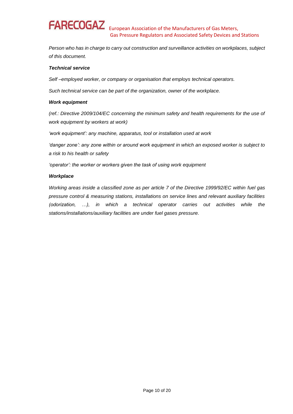*Person who has in charge to carry out construction and surveillance activities on workplaces, subject of this document.*

#### *Technical service*

*Self –employed worker, or company or organisation that employs technical operators.* 

*Such technical service can be part of the organization, owner of the workplace.* 

#### *Work equipment*

*(ref.: Directive 2009/104/EC concerning the minimum safety and health requirements for the use of work equipment by workers at work)* 

*'work equipment': any machine, apparatus, tool or installation used at work*

*'danger zone': any zone within or around work equipment in which an exposed worker is subject to a risk to his health or safety*

*'operator': the worker or workers given the task of using work equipment*

#### *Workplace*

*Working areas inside a classified zone as per article 7 of the Directive 1999/92/EC within fuel gas pressure control & measuring stations, installations on service lines and relevant auxiliary facilities (odorization, …), in which a technical operator carries out activities while the stations/installations/auxiliary facilities are under fuel gases pressure.*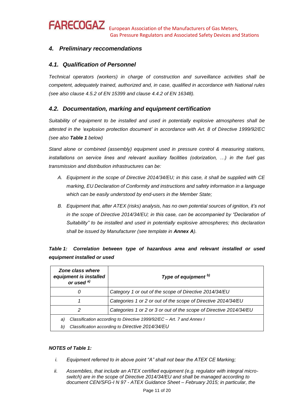# *4. Preliminary reccomendations*

# *4.1. Qualification of Personnel*

*Technical operators (workers) in charge of construction and surveillance activities shall be competent, adequately trained, authorized and, in case, qualified in accordance with National rules (see also clause 4.5.2 of EN 15399 and clause 4.4.2 of EN 16348).*

# *4.2. Documentation, marking and equipment certification*

*Suitability of equipment to be installed and used in potentially explosive atmospheres shall be attested in the 'explosion protection document' in accordance with Art. 8 of Directive 1999/92/EC (see also Table 1 below)* 

*Stand alone or combined (assembly) equipment used in pressure control & measuring stations, installations on service lines and relevant auxiliary facilities (odorization, …) in the fuel gas transmission and distribution infrastructures can be:* 

- *A. Equipment in the scope of Directive 2014/34/EU; in this case, it shall be supplied with CE marking, EU Declaration of Conformity and instructions and safety information in a language which can be easily understood by end-users in the Member State;*
- *B. Equipment that, after ATEX (risks) analysis, has no own potential sources of ignition, it's not in the scope of Directive 2014/34/EU; in this case, can be accompanied by "Declaration of Suitability" to be installed and used in potentially explosive atmospheres; this declaration shall be issued by Manufacturer (see template in Annex A).*

| Zone class where<br>equipment is installed<br>or used <sup>a)</sup>         | Type of equipment b) |  |  |  |
|-----------------------------------------------------------------------------|----------------------|--|--|--|
| Category 1 or out of the scope of Directive 2014/34/EU<br>0                 |                      |  |  |  |
| Categories 1 or 2 or out of the scope of Directive 2014/34/EU               |                      |  |  |  |
| Categories 1 or 2 or 3 or out of the scope of Directive 2014/34/EU<br>2     |                      |  |  |  |
| Classification according to Directive 1999/92/EC - Art. 7 and Annex I<br>a) |                      |  |  |  |
| Classification according to Directive 2014/34/EU<br>b)                      |                      |  |  |  |

| Table 1: Correlation between type of hazardous area and relevant installed or used |  |  |  |  |  |
|------------------------------------------------------------------------------------|--|--|--|--|--|
| equipment installed or used                                                        |  |  |  |  |  |

### *NOTES of Table 1:*

- *i. Equipment referred to in above point "A" shall not bear the ATEX CE Marking;*
- *ii. Assemblies, that include an ATEX certified equipment (e.g. regulator with integral microswitch) are in the scope of Directive 2014/34/EU and shall be managed according to document CEN/SFG-I N 97 - ATEX Guidance Sheet – February 2015; in particular, the*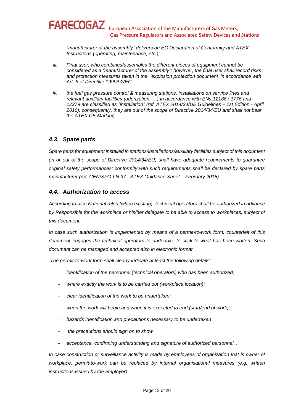*"manufacturer of the assembly" delivers an EC Declaration of Conformity and ATEX Instructions (operating, maintenance, etc.);* 

- *iii. Final user, who combines/assembles the different pieces of equipment cannot be considered as a "manufacturer of the assembly"; however, the final user shall record risks and protection measures taken in the 'explosion protection document' in accordance with Art. 8 of Directive 1999/92/EC;*
- *iv. the fuel gas pressure control & measuring stations, installations on service lines and relevant auxiliary facilities (odorization, …) in accordance with ENs 12186 / 1776 and 12279 are classified as "installation" (ref. ATEX 2014/34/UE Guidelines – 1st Edition - April 2016); consequently, they are out of the scope of Directive 2014/34/EU and shall not bear the ATEX CE Marking.*

# *4.3. Spare parts*

*Spare parts for equipment installed in stations/installations/auxiliary facilities subject of this document (in or out of the scope of Directive 2014/34/EU) shall have adequate requirements to guarantee original safety performances; conformity with such requirements shall be declared by spare parts manufacturer (ref. CEN/SFG-I N 97 - ATEX Guidance Sheet – February 2015).* 

# *4.4. Authorization to access*

*According to also National rules (when existing), technical operators shall be authorized in advance by Responsible for the workplace or his/her delegate to be able to access to workplaces, subject of this document.* 

*In case such authorization is implemented by means of a permit-to-work form, counterfeit of this document engages the technical operators to undertake to stick to what has been written. Such document can be managed and accepted also in electronic format.* 

*The permit-to-work form shall clearly indicate at least the following details:*

- − *identification of the personnel (technical operators) who has been authorized,*
- − *where exactly the work is to be carried out (workplace location);*
- − *clear identification of the work to be undertaken;*
- when the work will begin and when it is expected to end (start/end of work);
- − *hazards identification and precautions necessary to be undertaken*
- − *the precautions should sign on to show*
- − *acceptance, confirming understanding and signature of authorized personnel. .*

*In case construction or surveillance activity is made by employees of organization that is owner of workplace, permit-to-work can be replaced by internal organisational measures (e.g. written instructions issued by the employer).*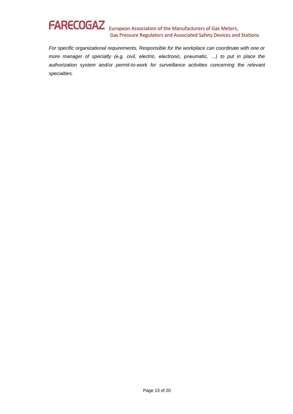*For specific organizational requirements, Responsible for the workplace can coordinate with one or more manager of specialty (e.g. civil, electric, electronic, pneumatic, …) to put in place the authorization system and/or permit-to-work for surveillance activities concerning the relevant specialties.*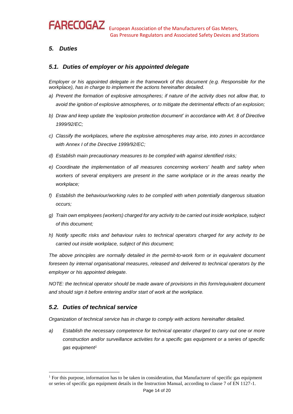# *5. Duties*

# *5.1. Duties of employer or his appointed delegate*

*Employer or his appointed delegate in the framework of this document (e.g. Responsible for the workplace), has in charge to implement the actions hereinafter detailed.* 

- *a) Prevent the formation of explosive atmospheres; if nature of the activity does not allow that, to avoid the ignition of explosive atmospheres, or to mitigate the detrimental effects of an explosion;*
- *b) Draw and keep update the 'explosion protection document' in accordance with Art. 8 of Directive 1999/92/EC;*
- *c) Classify the workplaces, where the explosive atmospheres may arise, into zones in accordance with Annex I of the Directive 1999/92/EC;*
- *d) Establish main precautionary measures to be complied with against identified risks;*
- *e) Coordinate the implementation of all measures concerning workers' health and safety when workers of several employers are present in the same workplace or in the areas nearby the workplace;*
- *f) Establish the behaviour/working rules to be complied with when potentially dangerous situation occurs;*
- *g) Train own employees (workers) charged for any activity to be carried out inside workplace, subject of this document;*
- *h) Notify specific risks and behaviour rules to technical operators charged for any activity to be carried out inside workplace, subject of this document;*

*The above principles are normally detailed in the permit-to-work form or in equivalent document foreseen by internal organisational measures, released and delivered to technical operators by the employer or his appointed delegate.* 

*NOTE: the technical operator should be made aware of provisions in this form/equivalent document and should sign it before entering and/or start of work at the workplace.* 

# *5.2. Duties of technical service*

 $\overline{a}$ 

*Organization of technical service has in charge to comply with actions hereinafter detailed.* 

*a) Establish the necessary competence for technical operator charged to carry out one or more construction and/or surveillance activities for a specific gas equipment or a series of specific gas equipment<sup>1</sup>*

<sup>1</sup> For this purpose, information has to be taken in consideration, that Manufacturer of specific gas equipment or series of specific gas equipment details in the Instruction Manual, according to clause 7 of EN 1127-1.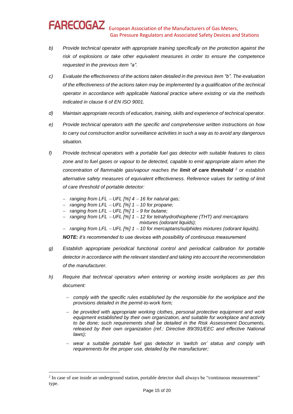- *b) Provide technical operator with appropriate training specifically on the protection against the risk of explosions or take other equivalent measures in order to ensure the competence requested in the previous item "a".*
- *c) Evaluate the effectiveness of the actions taken detailed in the previous item "b". The evaluation of the effectiveness of the actions taken may be implemented by a qualification of the technical operator in accordance with applicable National practice where existing or via the methods indicated in clause 6 of EN ISO 9001.*
- *d) Maintain appropriate records of education, training, skills and experience of technical operator.*
- *e) Provide technical operators with the specific and comprehensive written instructions on how to carry out construction and/or surveillance activities in such a way as to avoid any dangerous situation.*
- *f) Provide technical operators with a portable fuel gas detector with suitable features to class*  zone and to fuel gases or vapour to be detected, capable to emit appropriate alarm when the *concentration of flammable gas/vapour reaches the limit of care threshold <sup>2</sup> or establish alternative safety measures of equivalent effectiveness. Reference values for setting of limit of care threshold of portable detector:* 
	- − *ranging from LFL* <sup>−</sup> *UFL [%] 4* <sup>−</sup> *16 for natural gas;*
	- − *ranging from LFL* <sup>−</sup> *UFL [%] 1* <sup>−</sup> *10 for propane;*
	- − *ranging from LFL* <sup>−</sup> *UFL [%] 1* <sup>−</sup> *9 for butane;*

 $\overline{a}$ 

- − *ranging from LFL* <sup>−</sup> *UFL [%] 1* <sup>−</sup> *12 for tetrahydrothiophene (THT) and mercaptans mixtures (odorant liquids);*
- − *ranging from LFL* <sup>−</sup> *UFL [%] 1* <sup>−</sup> *10 for mercaptans/sulphides mixtures (odorant liquids). NOTE: it's recommended to use devices with possibility of continuous measurement*
- *g) Establish appropriate periodical functional control and periodical calibration for portable detector in accordance with the relevant standard and taking into account the recommendation of the manufacturer.*
- *h) Require that technical operators when entering or working inside workplaces as per this document:* 
	- − *comply with the specific rules established by the responsible for the workplace and the provisions detailed in the permit-to-work form;*
	- − *be provided with appropriate working clothes, personal protective equipment and work equipment established by their own organization, and suitable for workplace and activity to be done; such requirements shall be detailed in the Risk Assessment Documents, released by their own organization (ref.: Directive 89/391/EEC and effective National laws);*
	- − *wear a suitable portable fuel gas detector in 'switch on' status and comply with requirements for the proper use, detailed by the manufacturer;*

<sup>&</sup>lt;sup>2</sup> In case of use inside an underground station, portable detector shall always be "continuous measurement" type.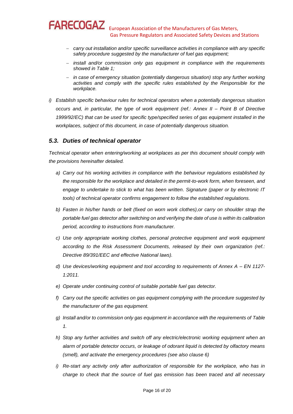- − *carry out installation and/or specific surveillance activities in compliance with any specific safety procedure suggested by the manufacturer of fuel gas equipment;*
- − *install and/or commission only gas equipment in compliance with the requirements showed in Table 1;*
- − *in case of emergency situation (potentially dangerous situation) stop any further working activities and comply with the specific rules established by the Responsible for the workplace.*
- *i) Establish specific behaviour rules for technical operators when a potentially dangerous situation occurs and, in particular, the type of work equipment (ref.: Annex II – Point B of Directive 1999/92/EC) that can be used for specific type/specified series of gas equipment installed in the workplaces, subject of this document, in case of potentially dangerous situation.*

# *5.3. Duties of technical operator*

*Technical operator when entering/working at workplaces as per this document should comply with the provisions hereinafter detailed.* 

- *a) Carry out his working activities in compliance with the behaviour regulations established by the responsible for the workplace and detailed in the permit-to-work form, when foreseen, and engage to undertake to stick to what has been written. Signature (paper or by electronic IT tools) of technical operator confirms engagement to follow the established regulations.*
- *b) Fasten in his/her hands or belt (fixed on worn work clothes),or carry on shoulder strap the portable fuel gas detector after switching on and verifying the date of use is within its calibration period, according to instructions from manufacturer.*
- *c) Use only appropriate working clothes, personal protective equipment and work equipment according to the Risk Assessment Documents, released by their own organization (ref.: Directive 89/391/EEC and effective National laws).*
- *d) Use devices/working equipment and tool according to requirements of Annex A – EN 1127- 1:2011.*
- *e) Operate under continuing control of suitable portable fuel gas detector.*
- *f) Carry out the specific activities on gas equipment complying with the procedure suggested by the manufacturer of the gas equipment.*
- *g) Install and/or to commission only gas equipment in accordance with the requirements of Table 1.*
- *h) Stop any further activities and switch off any electric/electronic working equipment when an alarm of portable detector occurs, or leakage of odorant liquid is detected by olfactory means (smell), and activate the emergency procedures (see also clause 6)*
- *i) Re-start any activity only after authorization of responsible for the workplace, who has in charge to check that the source of fuel gas emission has been traced and all necessary*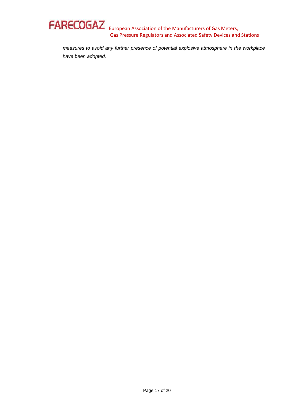

*measures to avoid any further presence of potential explosive atmosphere in the workplace have been adopted.*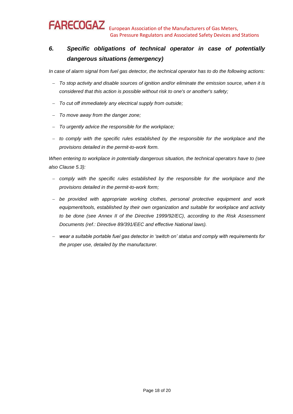# *6. Specific obligations of technical operator in case of potentially dangerous situations (emergency)*

*In case of alarm signal from fuel gas detector, the technical operator has to do the following actions:* 

- − *To stop activity and disable sources of ignition and/or eliminate the emission source, when it is considered that this action is possible without risk to one's or another's safety;*
- − *To cut off immediately any electrical supply from outside;*
- − *To move away from the danger zone;*
- − *To urgently advice the responsible for the workplace;*
- − *to comply with the specific rules established by the responsible for the workplace and the provisions detailed in the permit-to-work form.*

*When entering to workplace in potentially dangerous situation, the technical operators have to (see also Clause 5.3):* 

- − *comply with the specific rules established by the responsible for the workplace and the provisions detailed in the permit-to-work form;*
- − *be provided with appropriate working clothes, personal protective equipment and work equipment/tools, established by their own organization and suitable for workplace and activity to be done (see Annex II of the Directive 1999/92/EC), according to the Risk Assessment Documents (ref.: Directive 89/391/EEC and effective National laws).*
- − *wear a suitable portable fuel gas detector in 'switch on' status and comply with requirements for the proper use, detailed by the manufacturer.*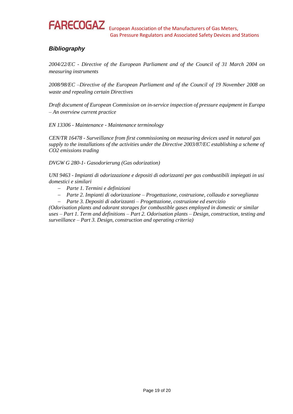

# *Bibliography*

*2004/22/EC - Directive of the European Parliament and of the Council of 31 March 2004 on measuring instruments* 

*2008/98/EC –Directive of the European Parliament and of the Council of 19 November 2008 on waste and repealing certain Directives* 

*Draft document of European Commission on in-service inspection of pressure equipment in Europa – An overview current practice*

*EN 13306 - Maintenance - Maintenance terminology*

*CEN/TR 16478 - Surveillance from first commissioning on measuring devices used in natural gas supply to the installations of the activities under the Directive 2003/87/EC establishing a scheme of CO2 emissions trading* 

*DVGW G 280-1- Gasodorierung (Gas odorization)*

*UNI 9463 - Impianti di odorizzazione e depositi di odorizzanti per gas combustibili impiegati in usi domestici e similari* 

- − *Parte 1. Termini e definizioni*
- − *Parte 2. Impianti di odorizzazione – Progettazione, costruzione, collaudo e sorveglianza*
- − *Parte 3. Depositi di odorizzanti – Progettazione, costruzione ed esercizio*

*(Odorisation plants and odorant storages for combustible gases employed in domestic or similar uses – Part 1. Term and definitions – Part 2. Odorisation plants – Design, construction, testing and surveillance – Part 3. Design, construction and operating criteria)*